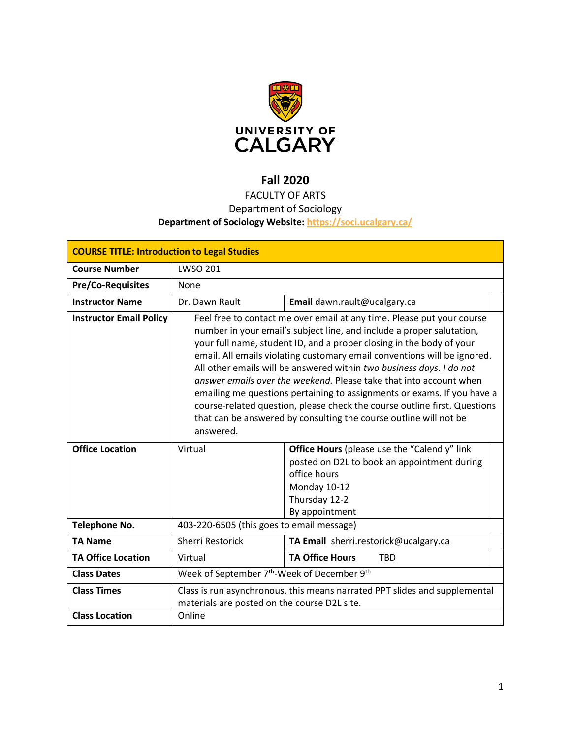

# **Fall 2020**

# FACULTY OF ARTS

## Department of Sociology

## **Department of Sociology Website:<https://soci.ucalgary.ca/>**

| <b>COURSE TITLE: Introduction to Legal Studies</b> |                                                                                                                                                                                                                                                                                                                                                                                                                                                                                                                                                                                                                                                                                                    |                                                                                                                                                                       |  |  |  |
|----------------------------------------------------|----------------------------------------------------------------------------------------------------------------------------------------------------------------------------------------------------------------------------------------------------------------------------------------------------------------------------------------------------------------------------------------------------------------------------------------------------------------------------------------------------------------------------------------------------------------------------------------------------------------------------------------------------------------------------------------------------|-----------------------------------------------------------------------------------------------------------------------------------------------------------------------|--|--|--|
| <b>Course Number</b>                               | <b>LWSO 201</b>                                                                                                                                                                                                                                                                                                                                                                                                                                                                                                                                                                                                                                                                                    |                                                                                                                                                                       |  |  |  |
| <b>Pre/Co-Requisites</b>                           | None                                                                                                                                                                                                                                                                                                                                                                                                                                                                                                                                                                                                                                                                                               |                                                                                                                                                                       |  |  |  |
| <b>Instructor Name</b>                             | Dr. Dawn Rault                                                                                                                                                                                                                                                                                                                                                                                                                                                                                                                                                                                                                                                                                     | Email dawn.rault@ucalgary.ca                                                                                                                                          |  |  |  |
| <b>Instructor Email Policy</b>                     | Feel free to contact me over email at any time. Please put your course<br>number in your email's subject line, and include a proper salutation,<br>your full name, student ID, and a proper closing in the body of your<br>email. All emails violating customary email conventions will be ignored.<br>All other emails will be answered within two business days. I do not<br><i>answer emails over the weekend.</i> Please take that into account when<br>emailing me questions pertaining to assignments or exams. If you have a<br>course-related question, please check the course outline first. Questions<br>that can be answered by consulting the course outline will not be<br>answered. |                                                                                                                                                                       |  |  |  |
| <b>Office Location</b>                             | Virtual                                                                                                                                                                                                                                                                                                                                                                                                                                                                                                                                                                                                                                                                                            | <b>Office Hours</b> (please use the "Calendly" link<br>posted on D2L to book an appointment during<br>office hours<br>Monday 10-12<br>Thursday 12-2<br>By appointment |  |  |  |
| <b>Telephone No.</b>                               | 403-220-6505 (this goes to email message)                                                                                                                                                                                                                                                                                                                                                                                                                                                                                                                                                                                                                                                          |                                                                                                                                                                       |  |  |  |
| <b>TA Name</b>                                     | <b>Sherri Restorick</b>                                                                                                                                                                                                                                                                                                                                                                                                                                                                                                                                                                                                                                                                            | TA Email sherri.restorick@ucalgary.ca                                                                                                                                 |  |  |  |
| <b>TA Office Location</b>                          | Virtual                                                                                                                                                                                                                                                                                                                                                                                                                                                                                                                                                                                                                                                                                            | <b>TA Office Hours</b><br><b>TBD</b>                                                                                                                                  |  |  |  |
| <b>Class Dates</b>                                 | Week of September 7 <sup>th</sup> -Week of December 9 <sup>th</sup>                                                                                                                                                                                                                                                                                                                                                                                                                                                                                                                                                                                                                                |                                                                                                                                                                       |  |  |  |
| <b>Class Times</b>                                 | Class is run asynchronous, this means narrated PPT slides and supplemental<br>materials are posted on the course D2L site.                                                                                                                                                                                                                                                                                                                                                                                                                                                                                                                                                                         |                                                                                                                                                                       |  |  |  |
| <b>Class Location</b>                              | Online                                                                                                                                                                                                                                                                                                                                                                                                                                                                                                                                                                                                                                                                                             |                                                                                                                                                                       |  |  |  |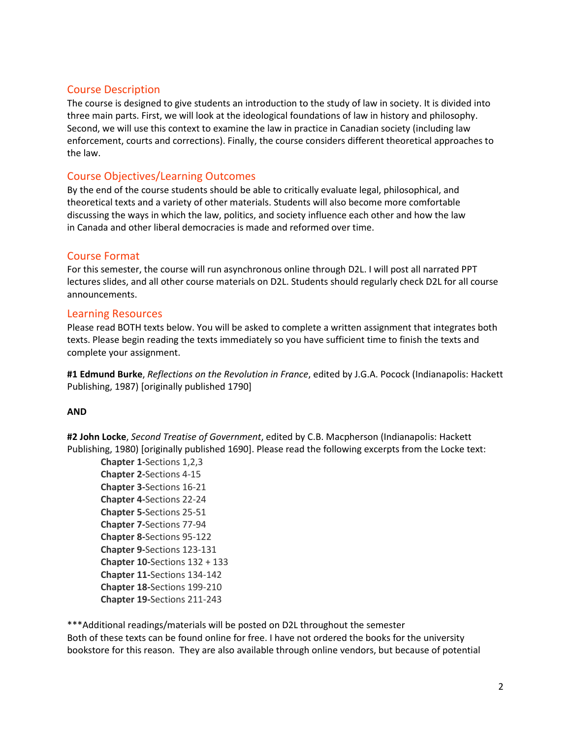#### Course Description

The course is designed to give students an introduction to the study of law in society. It is divided into three main parts. First, we will look at the ideological foundations of law in history and philosophy. Second, we will use this context to examine the law in practice in Canadian society (including law enforcement, courts and corrections). Finally, the course considers different theoretical approaches to the law.

#### Course Objectives/Learning Outcomes

By the end of the course students should be able to critically evaluate legal, philosophical, and theoretical texts and a variety of other materials. Students will also become more comfortable discussing the ways in which the law, politics, and society influence each other and how the law in Canada and other liberal democracies is made and reformed over time.

#### Course Format

For this semester, the course will run asynchronous online through D2L. I will post all narrated PPT lectures slides, and all other course materials on D2L. Students should regularly check D2L for all course announcements.

#### Learning Resources

Please read BOTH texts below. You will be asked to complete a written assignment that integrates both texts. Please begin reading the texts immediately so you have sufficient time to finish the texts and complete your assignment.

**#1 Edmund Burke**, *Reflections on the Revolution in France*, edited by J.G.A. Pocock (Indianapolis: Hackett Publishing, 1987) [originally published 1790]

#### **AND**

**#2 John Locke**, *Second Treatise of Government*, edited by C.B. Macpherson (Indianapolis: Hackett Publishing, 1980) [originally published 1690]. Please read the following excerpts from the Locke text:

**Chapter 1-**Sections 1,2,3 **Chapter 2-**Sections 4-15 **Chapter 3-**Sections 16-21 **Chapter 4-**Sections 22-24 **Chapter 5-**Sections 25-51 **Chapter 7-**Sections 77-94 **Chapter 8-**Sections 95-122 **Chapter 9-**Sections 123-131 **Chapter 10-**Sections 132 + 133 **Chapter 11-**Sections 134-142 **Chapter 18-**Sections 199-210 **Chapter 19-**Sections 211-243

\*\*\*Additional readings/materials will be posted on D2L throughout the semester Both of these texts can be found online for free. I have not ordered the books for the university bookstore for this reason. They are also available through online vendors, but because of potential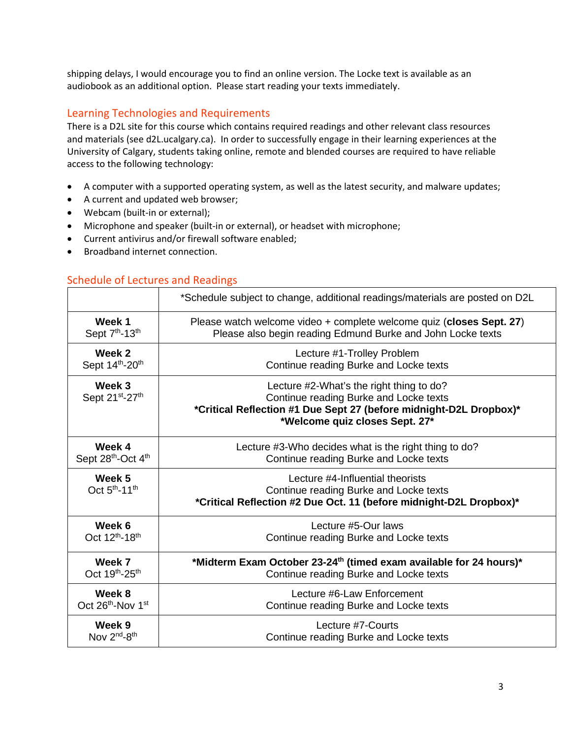shipping delays, I would encourage you to find an online version. The Locke text is available as an audiobook as an additional option. Please start reading your texts immediately.

# Learning Technologies and Requirements

There is a D2L site for this course which contains required readings and other relevant class resources and materials (see d2L.ucalgary.ca). In order to successfully engage in their learning experiences at the University of Calgary, students taking online, remote and blended courses are required to have reliable access to the following technology:

- A computer with a supported operating system, as well as the latest security, and malware updates;
- A current and updated web browser;
- Webcam (built-in or external);
- Microphone and speaker (built-in or external), or headset with microphone;
- Current antivirus and/or firewall software enabled;
- Broadband internet connection.

| <b>Schedule of Lectures and Readings</b> |  |
|------------------------------------------|--|
|                                          |  |

|                                                 | *Schedule subject to change, additional readings/materials are posted on D2L                                                                                                               |  |  |
|-------------------------------------------------|--------------------------------------------------------------------------------------------------------------------------------------------------------------------------------------------|--|--|
| Week 1                                          | Please watch welcome video + complete welcome quiz (closes Sept. 27)                                                                                                                       |  |  |
| Sept 7 <sup>th</sup> -13 <sup>th</sup>          | Please also begin reading Edmund Burke and John Locke texts                                                                                                                                |  |  |
| Week 2                                          | Lecture #1-Trolley Problem                                                                                                                                                                 |  |  |
| Sept 14th-20th                                  | Continue reading Burke and Locke texts                                                                                                                                                     |  |  |
| Week 3<br>Sept 21st-27th                        | Lecture #2-What's the right thing to do?<br>Continue reading Burke and Locke texts<br>*Critical Reflection #1 Due Sept 27 (before midnight-D2L Dropbox)*<br>*Welcome quiz closes Sept. 27* |  |  |
| Week 4                                          | Lecture #3-Who decides what is the right thing to do?                                                                                                                                      |  |  |
| Sept 28th-Oct 4th                               | Continue reading Burke and Locke texts                                                                                                                                                     |  |  |
| Week 5<br>Oct 5 <sup>th</sup> -11 <sup>th</sup> | Lecture #4-Influential theorists<br>Continue reading Burke and Locke texts<br>*Critical Reflection #2 Due Oct. 11 (before midnight-D2L Dropbox)*                                           |  |  |
| Week 6                                          | Lecture #5-Our laws                                                                                                                                                                        |  |  |
| Oct 12 <sup>th</sup> -18 <sup>th</sup>          | Continue reading Burke and Locke texts                                                                                                                                                     |  |  |
| Week 7                                          | *Midterm Exam October 23-24 <sup>th</sup> (timed exam available for 24 hours)*                                                                                                             |  |  |
| Oct 19th-25th                                   | Continue reading Burke and Locke texts                                                                                                                                                     |  |  |
| Week 8                                          | Lecture #6-Law Enforcement                                                                                                                                                                 |  |  |
| Oct 26th-Nov 1st                                | Continue reading Burke and Locke texts                                                                                                                                                     |  |  |
| Week 9                                          | Lecture #7-Courts                                                                                                                                                                          |  |  |
| Nov 2 <sup>nd</sup> -8 <sup>th</sup>            | Continue reading Burke and Locke texts                                                                                                                                                     |  |  |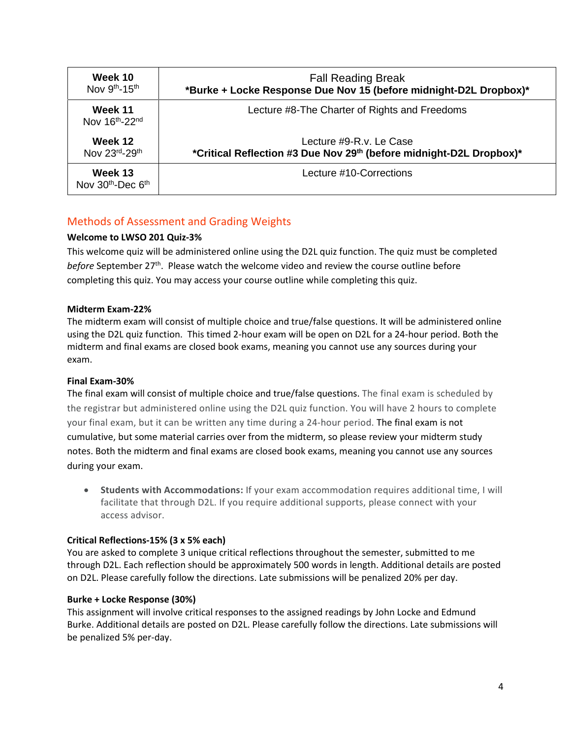| Week 10                          | <b>Fall Reading Break</b>                                           |  |  |
|----------------------------------|---------------------------------------------------------------------|--|--|
| Nov 9th-15th                     | *Burke + Locke Response Due Nov 15 (before midnight-D2L Dropbox)*   |  |  |
| Week 11<br>Nov 16th-22nd         | Lecture #8-The Charter of Rights and Freedoms                       |  |  |
| Week 12                          | Lecture #9-R.v. Le Case                                             |  |  |
| Nov 23rd-29th                    | *Critical Reflection #3 Due Nov 29th (before midnight-D2L Dropbox)* |  |  |
| Week 13<br>Nov $30th$ -Dec $6th$ | Lecture #10-Corrections                                             |  |  |

# Methods of Assessment and Grading Weights

#### **Welcome to LWSO 201 Quiz-3%**

This welcome quiz will be administered online using the D2L quiz function. The quiz must be completed *before* September 27th. Please watch the welcome video and review the course outline before completing this quiz. You may access your course outline while completing this quiz.

#### **Midterm Exam-22%**

The midterm exam will consist of multiple choice and true/false questions. It will be administered online using the D2L quiz function. This timed 2-hour exam will be open on D2L for a 24-hour period. Both the midterm and final exams are closed book exams, meaning you cannot use any sources during your exam.

#### **Final Exam-30%**

The final exam will consist of multiple choice and true/false questions. The final exam is scheduled by the registrar but administered online using the D2L quiz function. You will have 2 hours to complete your final exam, but it can be written any time during a 24-hour period. The final exam is not cumulative, but some material carries over from the midterm, so please review your midterm study notes. Both the midterm and final exams are closed book exams, meaning you cannot use any sources during your exam.

• **Students with Accommodations:** If your exam accommodation requires additional time, I will facilitate that through D2L. If you require additional supports, please connect with your access advisor.

#### **Critical Reflections-15% (3 x 5% each)**

You are asked to complete 3 unique critical reflections throughout the semester, submitted to me through D2L. Each reflection should be approximately 500 words in length. Additional details are posted on D2L. Please carefully follow the directions. Late submissions will be penalized 20% per day.

#### **Burke + Locke Response (30%)**

This assignment will involve critical responses to the assigned readings by John Locke and Edmund Burke. Additional details are posted on D2L. Please carefully follow the directions. Late submissions will be penalized 5% per-day.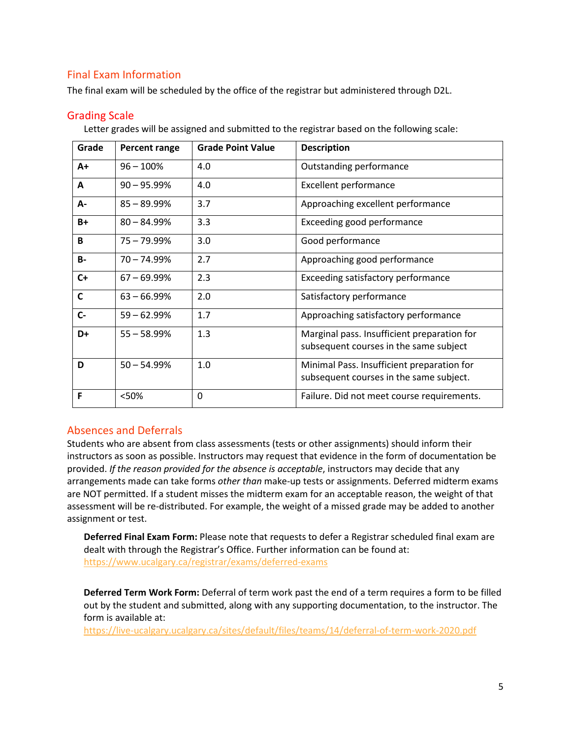# Final Exam Information

The final exam will be scheduled by the office of the registrar but administered through D2L.

#### Grading Scale

Letter grades will be assigned and submitted to the registrar based on the following scale:

| Grade     | Percent range  | <b>Grade Point Value</b> | <b>Description</b>                                                                    |
|-----------|----------------|--------------------------|---------------------------------------------------------------------------------------|
| A+        | $96 - 100%$    | 4.0                      | Outstanding performance                                                               |
| A         | $90 - 95.99%$  | 4.0                      | <b>Excellent performance</b>                                                          |
| А-        | $85 - 89.99%$  | 3.7                      | Approaching excellent performance                                                     |
| $B+$      | $80 - 84.99%$  | 3.3                      | Exceeding good performance                                                            |
| B         | 75 – 79.99%    | 3.0                      | Good performance                                                                      |
| <b>B-</b> | $70 - 74.99%$  | 2.7                      | Approaching good performance                                                          |
| $C+$      | $67 - 69.99\%$ | 2.3                      | Exceeding satisfactory performance                                                    |
| C         | $63 - 66.99%$  | 2.0                      | Satisfactory performance                                                              |
| $C -$     | $59 - 62.99%$  | 1.7                      | Approaching satisfactory performance                                                  |
| D+        | $55 - 58.99%$  | 1.3                      | Marginal pass. Insufficient preparation for<br>subsequent courses in the same subject |
| D         | $50 - 54.99%$  | 1.0                      | Minimal Pass. Insufficient preparation for<br>subsequent courses in the same subject. |
| F         | <50%           | 0                        | Failure. Did not meet course requirements.                                            |

#### Absences and Deferrals

Students who are absent from class assessments (tests or other assignments) should inform their instructors as soon as possible. Instructors may request that evidence in the form of documentation be provided. *If the reason provided for the absence is acceptable*, instructors may decide that any arrangements made can take forms *other than* make-up tests or assignments. Deferred midterm exams are NOT permitted. If a student misses the midterm exam for an acceptable reason, the weight of that assessment will be re-distributed. For example, the weight of a missed grade may be added to another assignment or test.

**Deferred Final Exam Form:** Please note that requests to defer a Registrar scheduled final exam are dealt with through the Registrar's Office. Further information can be found at: <https://www.ucalgary.ca/registrar/exams/deferred-exams>

**Deferred Term Work Form:** Deferral of term work past the end of a term requires a form to be filled out by the student and submitted, along with any supporting documentation, to the instructor. The form is available at:

<https://live-ucalgary.ucalgary.ca/sites/default/files/teams/14/deferral-of-term-work-2020.pdf>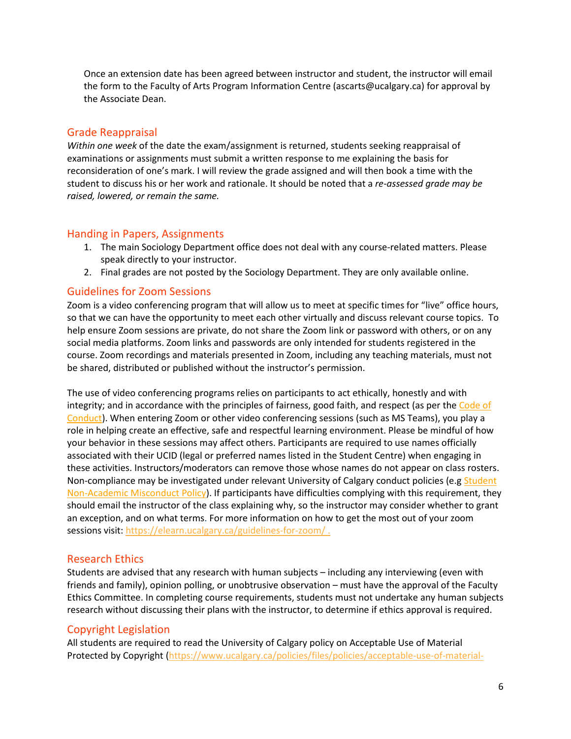Once an extension date has been agreed between instructor and student, the instructor will email the form to the Faculty of Arts Program Information Centre (ascarts@ucalgary.ca) for approval by the Associate Dean.

#### Grade Reappraisal

*Within one week* of the date the exam/assignment is returned, students seeking reappraisal of examinations or assignments must submit a written response to me explaining the basis for reconsideration of one's mark. I will review the grade assigned and will then book a time with the student to discuss his or her work and rationale. It should be noted that a *re-assessed grade may be raised, lowered, or remain the same.*

#### Handing in Papers, Assignments

- 1. The main Sociology Department office does not deal with any course-related matters. Please speak directly to your instructor.
- 2. Final grades are not posted by the Sociology Department. They are only available online.

#### Guidelines for Zoom Sessions

Zoom is a video conferencing program that will allow us to meet at specific times for "live" office hours, so that we can have the opportunity to meet each other virtually and discuss relevant course topics. To help ensure Zoom sessions are private, do not share the Zoom link or password with others, or on any social media platforms. Zoom links and passwords are only intended for students registered in the course. Zoom recordings and materials presented in Zoom, including any teaching materials, must not be shared, distributed or published without the instructor's permission.

The use of video conferencing programs relies on participants to act ethically, honestly and with integrity; and in accordance with the principles of fairness, good faith, and respect (as per the Code of [Conduct\)](https://www.ucalgary.ca/policies/files/policies/code-of-conduct.pdf). When entering Zoom or other video conferencing sessions (such as MS Teams), you play a role in helping create an effective, safe and respectful learning environment. Please be mindful of how your behavior in these sessions may affect others. Participants are required to use names officially associated with their UCID (legal or preferred names listed in the Student Centre) when engaging in these activities. Instructors/moderators can remove those whose names do not appear on class rosters. Non-compliance may be investigated under relevant University of Calgary conduct policies (e.g Student [Non-Academic Misconduct Policy\)](https://ucalgary.ca/policies/files/policies/non-academic-misconduct-policy.pdf). If participants have difficulties complying with this requirement, they should email the instructor of the class explaining why, so the instructor may consider whether to grant an exception, and on what terms. For more information on how to get the most out of your zoom sessions visit[: https://elearn.ucalgary.ca/guidelines-for-zoom/](https://elearn.ucalgary.ca/guidelines-for-zoom/).

#### Research Ethics

Students are advised that any research with human subjects – including any interviewing (even with friends and family), opinion polling, or unobtrusive observation – must have the approval of the Faculty Ethics Committee. In completing course requirements, students must not undertake any human subjects research without discussing their plans with the instructor, to determine if ethics approval is required.

## Copyright Legislation

All students are required to read the University of Calgary policy on Acceptable Use of Material Protected by Copyright [\(https://www.ucalgary.ca/policies/files/policies/acceptable-use-of-material-](https://www.ucalgary.ca/policies/files/policies/acceptable-use-of-material-protected-by-copyright-policy.pdf)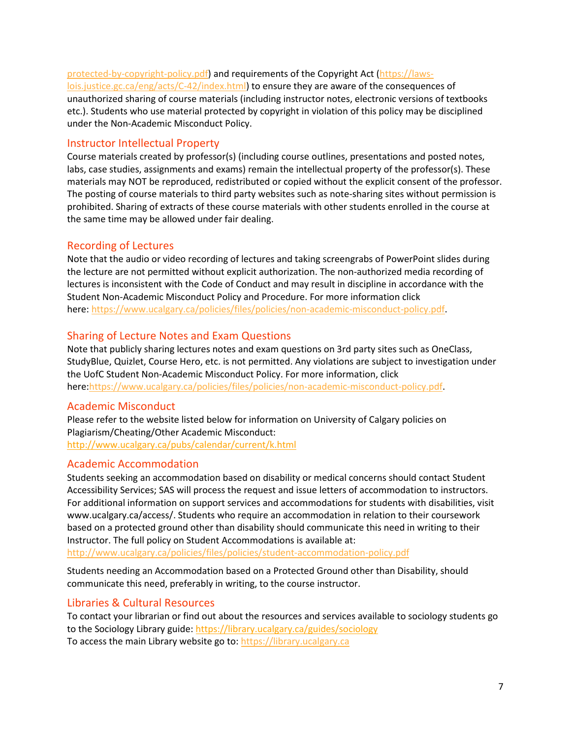[protected-by-copyright-policy.pdf\)](https://www.ucalgary.ca/policies/files/policies/acceptable-use-of-material-protected-by-copyright-policy.pdf) and requirements of the Copyright Act [\(https://laws](https://laws-lois.justice.gc.ca/eng/acts/C-42/index.html)[lois.justice.gc.ca/eng/acts/C-42/index.html\)](https://laws-lois.justice.gc.ca/eng/acts/C-42/index.html) to ensure they are aware of the consequences of unauthorized sharing of course materials (including instructor notes, electronic versions of textbooks etc.). Students who use material protected by copyright in violation of this policy may be disciplined under the Non-Academic Misconduct Policy.

#### Instructor Intellectual Property

Course materials created by professor(s) (including course outlines, presentations and posted notes, labs, case studies, assignments and exams) remain the intellectual property of the professor(s). These materials may NOT be reproduced, redistributed or copied without the explicit consent of the professor. The posting of course materials to third party websites such as note-sharing sites without permission is prohibited. Sharing of extracts of these course materials with other students enrolled in the course at the same time may be allowed under fair dealing.

#### Recording of Lectures

Note that the audio or video recording of lectures and taking screengrabs of PowerPoint slides during the lecture are not permitted without explicit authorization. The non-authorized media recording of lectures is inconsistent with the Code of Conduct and may result in discipline in accordance with the Student Non-Academic Misconduct Policy and Procedure. For more information click here: [https://www.ucalgary.ca/policies/files/policies/non-academic-misconduct-policy.pdf.](https://www.ucalgary.ca/policies/files/policies/non-academic-misconduct-policy.pdf)

#### Sharing of Lecture Notes and Exam Questions

Note that publicly sharing lectures notes and exam questions on 3rd party sites such as OneClass, StudyBlue, Quizlet, Course Hero, etc. is not permitted. Any violations are subject to investigation under the UofC Student Non-Academic Misconduct Policy. For more information, click here[:https://www.ucalgary.ca/policies/files/policies/non-academic-misconduct-policy.pdf.](https://www.ucalgary.ca/policies/files/policies/non-academic-misconduct-policy.pdf)

#### Academic Misconduct

Please refer to the website listed below for information on University of Calgary policies on Plagiarism/Cheating/Other Academic Misconduct: <http://www.ucalgary.ca/pubs/calendar/current/k.html>

#### Academic Accommodation

Students seeking an accommodation based on disability or medical concerns should contact Student Accessibility Services; SAS will process the request and issue letters of accommodation to instructors. For additional information on support services and accommodations for students with disabilities, visit www.ucalgary.ca/access/. Students who require an accommodation in relation to their coursework based on a protected ground other than disability should communicate this need in writing to their Instructor. The full policy on Student Accommodations is available at:

<http://www.ucalgary.ca/policies/files/policies/student-accommodation-policy.pdf>

Students needing an Accommodation based on a Protected Ground other than Disability, should communicate this need, preferably in writing, to the course instructor.

## Libraries & Cultural Resources

To contact your librarian or find out about the resources and services available to sociology students go to the Sociology Library guide[: https://library.ucalgary.ca/guides/sociology](https://library.ucalgary.ca/guides/sociology) To access the main Library website go to: [https://library.ucalgary.ca](https://library.ucalgary.ca/)